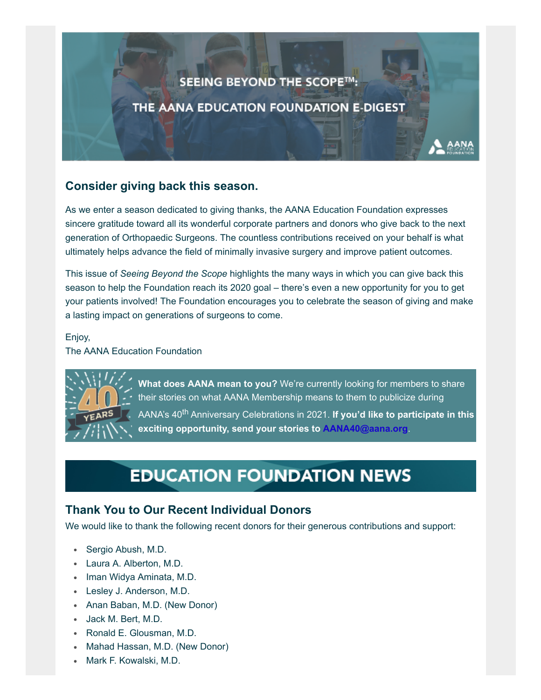# SEEING BEYOND THE SCOPE™: THE AANA EDUCATION FOUNDATION E-DIGEST

## **Consider giving back this season.**

As we enter a season dedicated to giving thanks, the AANA Education Foundation expresses sincere gratitude toward all its wonderful corporate partners and donors who give back to the next generation of Orthopaedic Surgeons. The countless contributions received on your behalf is what ultimately helps advance the field of minimally invasive surgery and improve patient outcomes.

This issue of *Seeing Beyond the Scope* highlights the many ways in which you can give back this season to help the Foundation reach its 2020 goal – there's even a new opportunity for you to get your patients involved! The Foundation encourages you to celebrate the season of giving and make a lasting impact on generations of surgeons to come.

#### Enjoy,

The AANA Education Foundation



**What does AANA mean to you?** We're currently looking for members to share their stories on what AANA Membership means to them to publicize during AANA's 40<sup>th</sup> Anniversary Celebrations in 2021. If you'd like to participate in this **exciting opportunity, send your stories to [AANA40@aana.org](mailto:AANA40@aana.org?subject=AANA%20Member%20Testimonial)**.

# **EDUCATION FOUNDATION NEWS**

## **Thank You to Our Recent Individual Donors**

We would like to thank the following recent donors for their generous contributions and support:

- Sergio Abush, M.D.
- Laura A. Alberton, M.D.
- Iman Widya Aminata, M.D.
- Lesley J. Anderson, M.D.
- Anan Baban, M.D. (New Donor)
- Jack M. Bert, M.D.
- Ronald E. Glousman, M.D.
- Mahad Hassan, M.D. (New Donor)
- Mark F. Kowalski, M.D.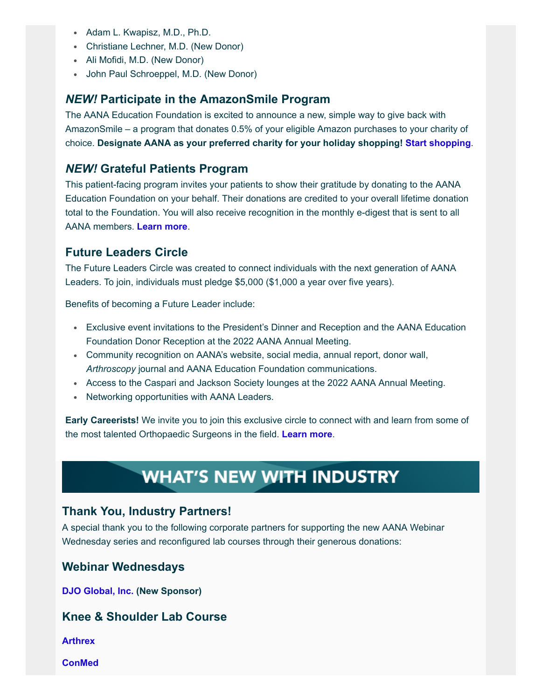- Adam L. Kwapisz, M.D., Ph.D.
- Christiane Lechner, M.D. (New Donor)
- Ali Mofidi, M.D. (New Donor)
- John Paul Schroeppel, M.D. (New Donor)

## *NEW!* **Participate in the AmazonSmile Program**

The AANA Education Foundation is excited to announce a new, simple way to give back with AmazonSmile – a program that donates 0.5% of your eligible Amazon purchases to your charity of choice. **Designate AANA as your preferred charity for your holiday shopping! [Start shopping](https://smile.amazon.com/gp/chpf/homepage/ref=smi_chpf_redirect?ie=UTF8&ein=36-3166049&ref_=smi_ext_ch_36-3166049_cl)**.

## *NEW!* **Grateful Patients Program**

This patient-facing program invites your patients to show their gratitude by donating to the AANA Education Foundation on your behalf. Their donations are credited to your overall lifetime donation total to the Foundation. You will also receive recognition in the monthly e-digest that is sent to all AANA members. **[Learn more](https://www.aana.org/aanaimis/Members/For-Patients/grateful-patients-program.aspx?WebsiteKey=10f6eed0-bcab-4019-8f57-18dad8aaf2d7&utm_source=aana&utm_medium=vanity&utm_campaign=grateful)**.

## **Future Leaders Circle**

The Future Leaders Circle was created to connect individuals with the next generation of AANA Leaders. To join, individuals must pledge \$5,000 (\$1,000 a year over five years).

Benefits of becoming a Future Leader include:

- Exclusive event invitations to the President's Dinner and Reception and the AANA Education Foundation Donor Reception at the 2022 AANA Annual Meeting.
- Community recognition on AANA's website, social media, annual report, donor wall, *Arthroscopy* journal and AANA Education Foundation communications.
- Access to the Caspari and Jackson Society lounges at the 2022 AANA Annual Meeting.
- Networking opportunities with AANA Leaders.

**Early Careerists!** We invite you to join this exclusive circle to connect with and learn from some of the most talented Orthopaedic Surgeons in the field. **[Learn more](https://www.aana.org/AANAIMIS/Members/Education_Foundation/Donor_Levels/Members/Education-Foundation/Donor-Levels.aspx?hkey=eb62d7d4-2b8c-41a7-bdd7-eb8f9d29de38)**.

## **WHAT'S NEW WITH INDUSTRY**

## **Thank You, Industry Partners!**

A special thank you to the following corporate partners for supporting the new AANA Webinar Wednesday series and reconfigured lab courses through their generous donations:

#### **Webinar Wednesdays**

**[DJO Global, Inc.](https://www.djoglobal.com/) (New Sponsor)**

## **Knee & Shoulder Lab Course**

**[Arthrex](https://www.arthrex.com/)**

**[ConMed](https://www.conmed.com/en)**